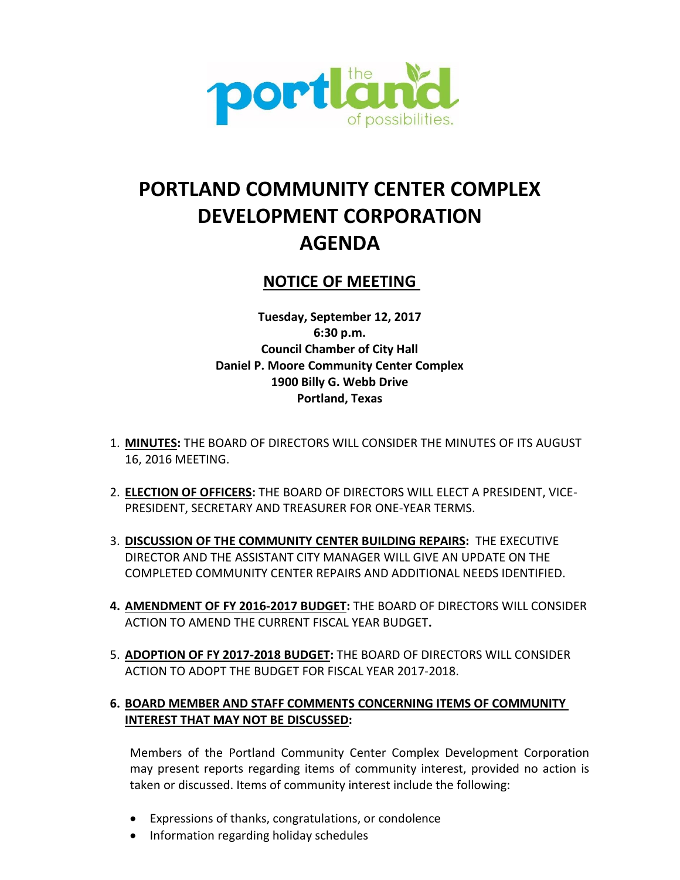

# **PORTLAND COMMUNITY CENTER COMPLEX DEVELOPMENT CORPORATION AGENDA**

# **NOTICE OF MEETING**

**Tuesday, September 12, 2017 6:30 p.m. Council Chamber of City Hall Daniel P. Moore Community Center Complex 1900 Billy G. Webb Drive Portland, Texas**

- 1. **MINUTES:** THE BOARD OF DIRECTORS WILL CONSIDER THE MINUTES OF ITS AUGUST 16, 2016 MEETING.
- 2. **ELECTION OF OFFICERS:** THE BOARD OF DIRECTORS WILL ELECT A PRESIDENT, VICE-PRESIDENT, SECRETARY AND TREASURER FOR ONE-YEAR TERMS.
- 3. **DISCUSSION OF THE COMMUNITY CENTER BUILDING REPAIRS:** THE EXECUTIVE DIRECTOR AND THE ASSISTANT CITY MANAGER WILL GIVE AN UPDATE ON THE COMPLETED COMMUNITY CENTER REPAIRS AND ADDITIONAL NEEDS IDENTIFIED.
- **4. AMENDMENT OF FY 2016-2017 BUDGET:** THE BOARD OF DIRECTORS WILL CONSIDER ACTION TO AMEND THE CURRENT FISCAL YEAR BUDGET**.**
- 5. **ADOPTION OF FY 2017-2018 BUDGET:** THE BOARD OF DIRECTORS WILL CONSIDER ACTION TO ADOPT THE BUDGET FOR FISCAL YEAR 2017-2018.

# **6. BOARD MEMBER AND STAFF COMMENTS CONCERNING ITEMS OF COMMUNITY INTEREST THAT MAY NOT BE DISCUSSED:**

Members of the Portland Community Center Complex Development Corporation may present reports regarding items of community interest, provided no action is taken or discussed. Items of community interest include the following:

- Expressions of thanks, congratulations, or condolence
- Information regarding holiday schedules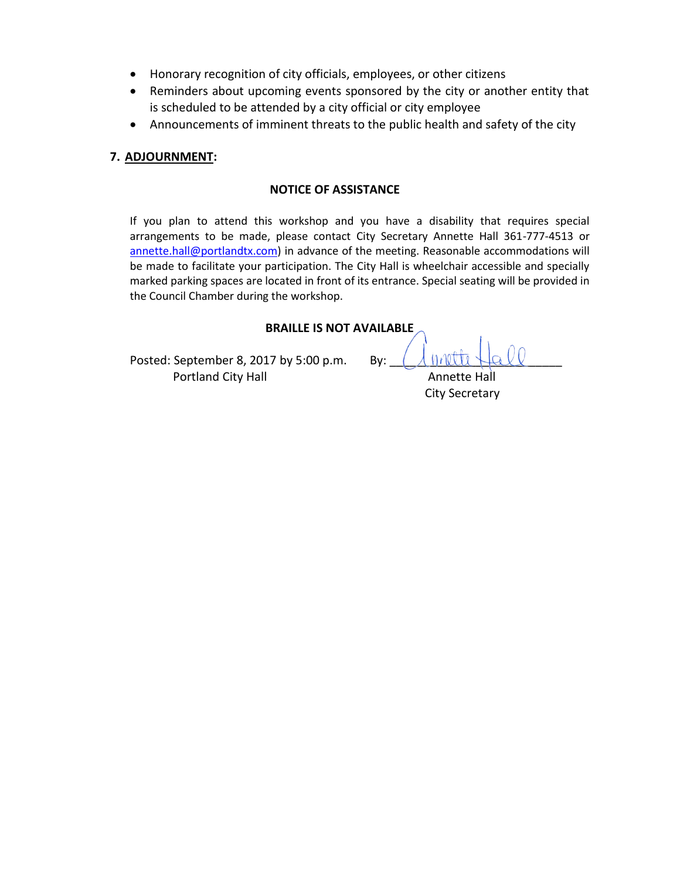- Honorary recognition of city officials, employees, or other citizens
- Reminders about upcoming events sponsored by the city or another entity that is scheduled to be attended by a city official or city employee
- Announcements of imminent threats to the public health and safety of the city

### **7. ADJOURNMENT:**

### **NOTICE OF ASSISTANCE**

If you plan to attend this workshop and you have a disability that requires special arrangements to be made, please contact City Secretary Annette Hall 361-777-4513 or annette.hall@portlandtx.com) in advance of the meeting. Reasonable accommodations will be made to facilitate your participation. The City Hall is wheelchair accessible and specially marked parking spaces are located in front of its entrance. Special seating will be provided in the Council Chamber during the workshop.

### **BRAILLE IS NOT AVAILABLE**

Posted: September 8, 2017 by 5:00 p.m. By: Portland City Hall **Annette Hall** Annette Hall

City Secretary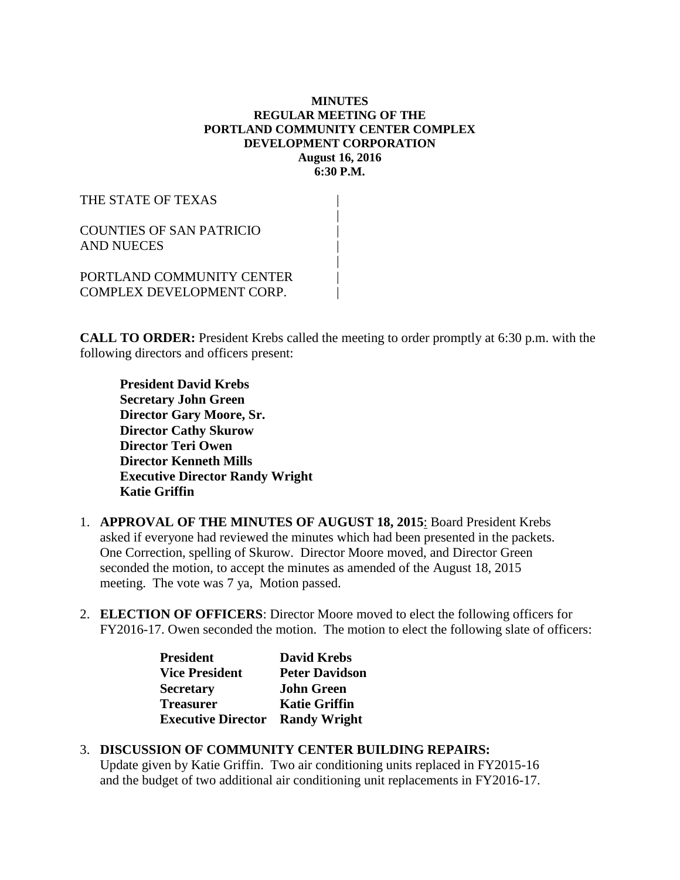### **MINUTES REGULAR MEETING OF THE PORTLAND COMMUNITY CENTER COMPLEX DEVELOPMENT CORPORATION August 16, 2016 6:30 P.M.**

| THE STATE OF TEXAS                                            |  |
|---------------------------------------------------------------|--|
| <b>COUNTIES OF SAN PATRICIO</b><br>AND NUECES                 |  |
| PORTLAND COMMUNITY CENTER<br><b>COMPLEX DEVELOPMENT CORP.</b> |  |

**CALL TO ORDER:** President Krebs called the meeting to order promptly at 6:30 p.m. with the following directors and officers present:

**President David Krebs Secretary John Green Director Gary Moore, Sr. Director Cathy Skurow Director Teri Owen Director Kenneth Mills Executive Director Randy Wright Katie Griffin**

- 1. **APPROVAL OF THE MINUTES OF AUGUST 18, 2015**: Board President Krebs asked if everyone had reviewed the minutes which had been presented in the packets. One Correction, spelling of Skurow. Director Moore moved, and Director Green seconded the motion, to accept the minutes as amended of the August 18, 2015 meeting. The vote was 7 ya, Motion passed.
- 2. **ELECTION OF OFFICERS**: Director Moore moved to elect the following officers for FY2016-17. Owen seconded the motion. The motion to elect the following slate of officers:

| <b>President</b>          | <b>David Krebs</b>    |
|---------------------------|-----------------------|
| <b>Vice President</b>     | <b>Peter Davidson</b> |
| <b>Secretary</b>          | <b>John Green</b>     |
| <b>Treasurer</b>          | <b>Katie Griffin</b>  |
| <b>Executive Director</b> | <b>Randy Wright</b>   |

# 3. **DISCUSSION OF COMMUNITY CENTER BUILDING REPAIRS:**

Update given by Katie Griffin. Two air conditioning units replaced in FY2015-16 and the budget of two additional air conditioning unit replacements in FY2016-17.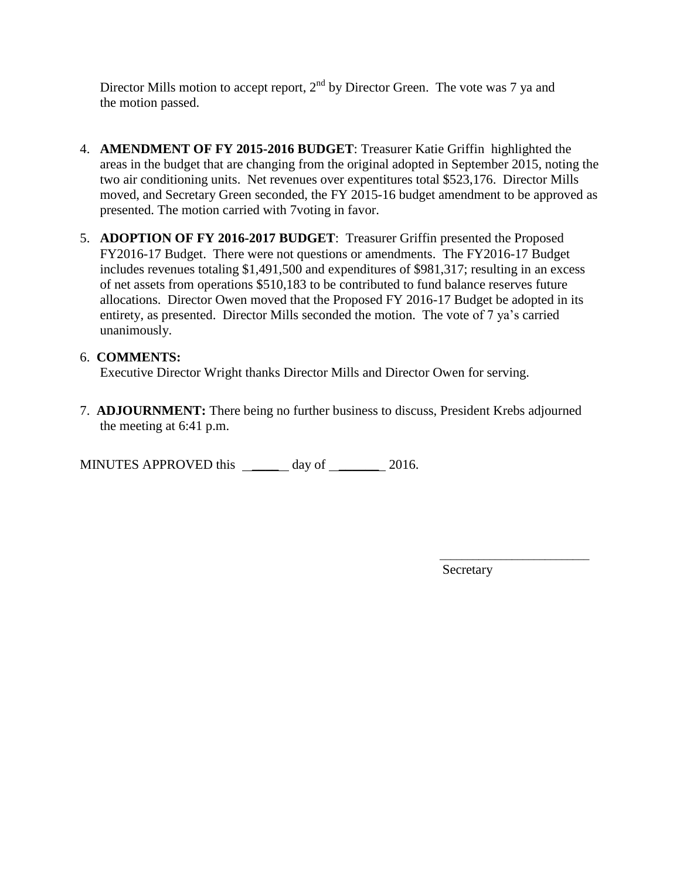Director Mills motion to accept report,  $2<sup>nd</sup>$  by Director Green. The vote was 7 ya and the motion passed.

- 4. **AMENDMENT OF FY 2015-2016 BUDGET**: Treasurer Katie Griffin highlighted the areas in the budget that are changing from the original adopted in September 2015, noting the two air conditioning units. Net revenues over expentitures total \$523,176. Director Mills moved, and Secretary Green seconded, the FY 2015-16 budget amendment to be approved as presented. The motion carried with 7voting in favor.
- 5. **ADOPTION OF FY 2016-2017 BUDGET**: Treasurer Griffin presented the Proposed FY2016-17 Budget. There were not questions or amendments. The FY2016-17 Budget includes revenues totaling \$1,491,500 and expenditures of \$981,317; resulting in an excess of net assets from operations \$510,183 to be contributed to fund balance reserves future allocations. Director Owen moved that the Proposed FY 2016-17 Budget be adopted in its entirety, as presented. Director Mills seconded the motion. The vote of 7 ya's carried unanimously.

# 6. **COMMENTS:**

Executive Director Wright thanks Director Mills and Director Owen for serving.

7. **ADJOURNMENT:** There being no further business to discuss, President Krebs adjourned the meeting at 6:41 p.m.

MINUTES APPROVED this day of 2016.

Secretary

\_\_\_\_\_\_\_\_\_\_\_\_\_\_\_\_\_\_\_\_\_\_\_\_\_\_\_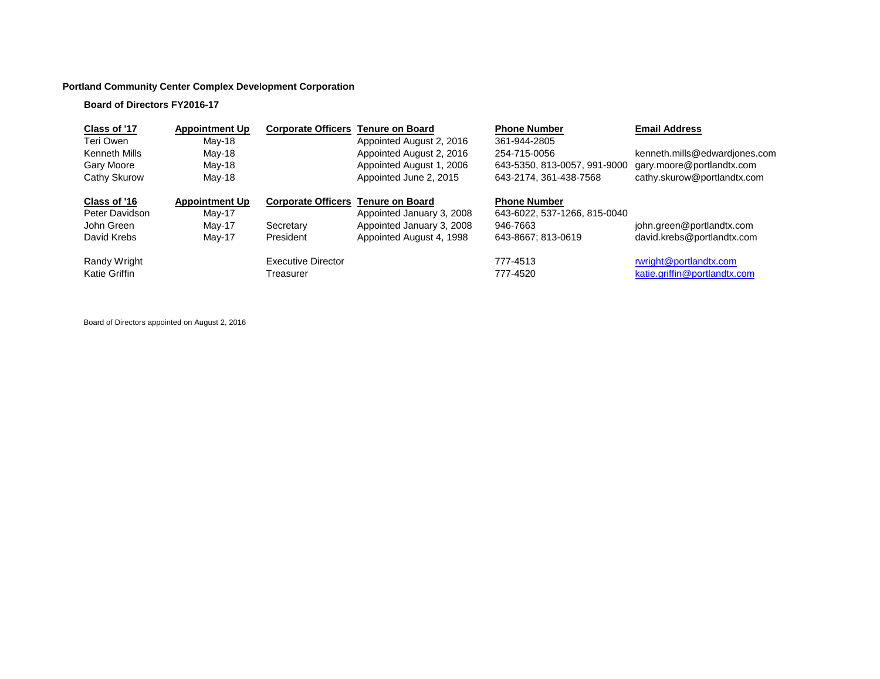# **Portland Community Center Complex Development Corporation**

# **Board of Directors FY2016-17**

| Class of '17         | <b>Appointment Up</b> | <b>Corporate Officers</b>                 | <b>Tenure on Board</b>    | <b>Phone Number</b>          | <b>Email Address</b>          |
|----------------------|-----------------------|-------------------------------------------|---------------------------|------------------------------|-------------------------------|
| Teri Owen            | $May-18$              |                                           | Appointed August 2, 2016  | 361-944-2805                 |                               |
| Kenneth Mills        | May-18                |                                           | Appointed August 2, 2016  | 254-715-0056                 | kenneth.mills@edwardjones.com |
| Gary Moore           | May-18                |                                           | Appointed August 1, 2006  | 643-5350, 813-0057, 991-9000 | gary.moore@portlandtx.com     |
| Cathy Skurow         | May-18                |                                           | Appointed June 2, 2015    | 643-2174, 361-438-7568       | cathy.skurow@portlandtx.com   |
| Class of '16         | <b>Appointment Up</b> | <b>Corporate Officers Tenure on Board</b> |                           | <b>Phone Number</b>          |                               |
| Peter Davidson       | $May-17$              |                                           | Appointed January 3, 2008 | 643-6022, 537-1266, 815-0040 |                               |
| John Green           | May-17                | Secretary                                 | Appointed January 3, 2008 | 946-7663                     | john.green@portlandtx.com     |
| David Krebs          | May-17                | President                                 | Appointed August 4, 1998  | 643-8667; 813-0619           | david.krebs@portlandtx.com    |
| Randy Wright         |                       | Executive Director                        |                           | 777-4513                     | rwright@portlandtx.com        |
| <b>Katie Griffin</b> |                       | Treasurer                                 |                           | 777-4520                     | katie.griffin@portlandtx.com  |

Board of Directors appointed on August 2, 2016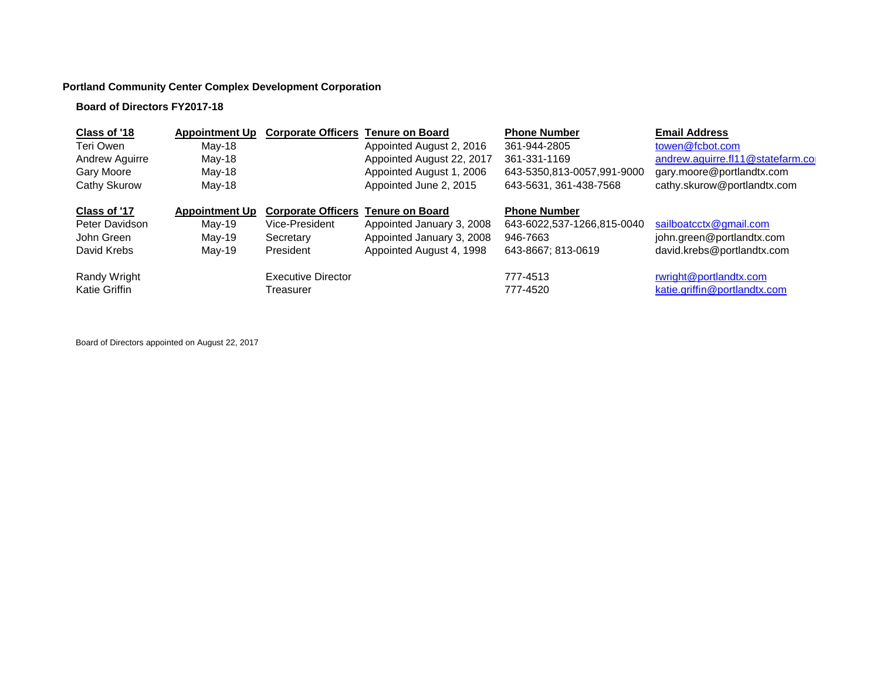### **Portland Community Center Complex Development Corporation**

#### **Board of Directors FY2017-18**

| <b>Appointment Up</b> |                           |                           | <b>Phone Number</b>                                                              | <b>Email Address</b>              |
|-----------------------|---------------------------|---------------------------|----------------------------------------------------------------------------------|-----------------------------------|
| May-18                |                           | Appointed August 2, 2016  | 361-944-2805                                                                     | towen@fcbot.com                   |
| May-18                |                           | Appointed August 22, 2017 | 361-331-1169                                                                     | andrew.aguirre.fl11@statefarm.com |
| May-18                |                           | Appointed August 1, 2006  | 643-5350,813-0057,991-9000                                                       | gary.moore@portlandtx.com         |
| May-18                |                           | Appointed June 2, 2015    | 643-5631, 361-438-7568                                                           | cathy.skurow@portlandtx.com       |
| <b>Appointment Up</b> |                           | <b>Tenure on Board</b>    | <b>Phone Number</b>                                                              |                                   |
| May-19                | Vice-President            | Appointed January 3, 2008 | 643-6022,537-1266,815-0040                                                       | sailboatcctx@gmail.com            |
| May-19                | Secretary                 | Appointed January 3, 2008 | 946-7663                                                                         | john.green@portlandtx.com         |
| May-19                | President                 | Appointed August 4, 1998  | 643-8667; 813-0619                                                               | david.krebs@portlandtx.com        |
|                       | <b>Executive Director</b> |                           | 777-4513                                                                         | rwright@portlandtx.com            |
|                       | Treasurer                 |                           | 777-4520                                                                         | katie.griffin@portlandtx.com      |
|                       |                           |                           | <b>Corporate Officers</b><br><b>Tenure on Board</b><br><b>Corporate Officers</b> |                                   |

Board of Directors appointed on August 22, 2017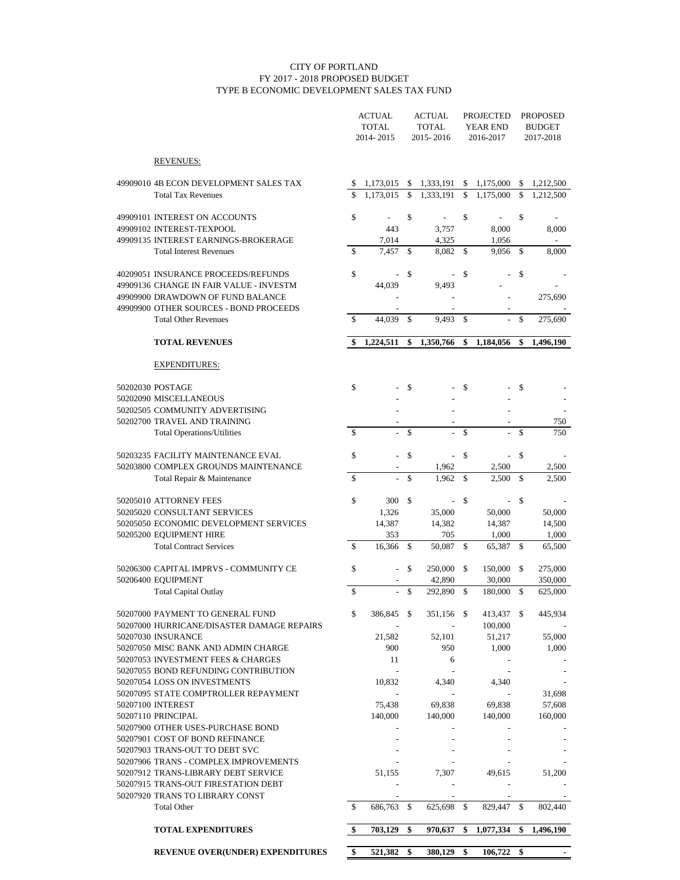#### CITY OF PORTLAND FY 2017 - 2018 PROPOSED BUDGET TYPE B ECONOMIC DEVELOPMENT SALES TAX FUND

|                                                                                |                    | <b>ACTUAL</b><br><b>TOTAL</b><br>2014-2015 |    | <b>ACTUAL</b><br><b>TOTAL</b><br>2015-2016 |     | <b>PROJECTED</b><br><b>YEAR END</b><br>2016-2017 |     | <b>PROPOSED</b><br><b>BUDGET</b><br>2017-2018 |  |
|--------------------------------------------------------------------------------|--------------------|--------------------------------------------|----|--------------------------------------------|-----|--------------------------------------------------|-----|-----------------------------------------------|--|
| <b>REVENUES:</b>                                                               |                    |                                            |    |                                            |     |                                                  |     |                                               |  |
| 49909010 4B ECON DEVELOPMENT SALES TAX                                         | \$                 | 1,173,015                                  |    | 1,333,191                                  | \$  | 1,175,000                                        | S   | 1,212,500                                     |  |
| <b>Total Tax Revenues</b>                                                      | $\mathbf{\hat{S}}$ | 1.173.015                                  | \$ | 1,333,191                                  | \$  | 1,175,000                                        | \$  | 1,212,500                                     |  |
| 49909101 INTEREST ON ACCOUNTS                                                  | \$                 |                                            | \$ |                                            | \$  |                                                  | \$  |                                               |  |
| 49909102 INTEREST-TEXPOOL                                                      |                    | 443                                        |    | 3,757                                      |     | 8,000                                            |     | 8,000                                         |  |
| 49909135 INTEREST EARNINGS-BROKERAGE                                           |                    | 7,014                                      |    | 4,325                                      |     | 1,056                                            |     |                                               |  |
| <b>Total Interest Revenues</b>                                                 | S                  | 7.457                                      | \$ | 8,082                                      | \$  | 9,056                                            | \$  | 8,000                                         |  |
| 40209051 INSURANCE PROCEEDS/REFUNDS<br>49909136 CHANGE IN FAIR VALUE - INVESTM | \$                 | 44,039                                     | \$ | 9,493                                      | \$  |                                                  | \$  |                                               |  |
| 49909900 DRAWDOWN OF FUND BALANCE                                              |                    |                                            |    |                                            |     |                                                  |     | 275,690                                       |  |
| 49909900 OTHER SOURCES - BOND PROCEEDS                                         |                    |                                            |    |                                            |     |                                                  |     |                                               |  |
| <b>Total Other Revenues</b>                                                    | \$                 | 44,039                                     | \$ | 9,493                                      | \$  |                                                  | \$  | 275,690                                       |  |
| <b>TOTAL REVENUES</b>                                                          | \$                 | 1.224.511                                  | \$ | 1,350,766                                  | \$  | 1.184.056                                        | \$  | 1,496,190                                     |  |
| <b>EXPENDITURES:</b>                                                           |                    |                                            |    |                                            |     |                                                  |     |                                               |  |
| 50202030 POSTAGE                                                               | \$                 |                                            | \$ |                                            | \$  |                                                  | \$  |                                               |  |
| 50202090 MISCELLANEOUS                                                         |                    |                                            |    |                                            |     |                                                  |     |                                               |  |
| 50202505 COMMUNITY ADVERTISING                                                 |                    |                                            |    |                                            |     |                                                  |     |                                               |  |
| 50202700 TRAVEL AND TRAINING                                                   | \$                 |                                            |    |                                            |     |                                                  |     | 750                                           |  |
| <b>Total Operations/Utilities</b>                                              |                    |                                            | \$ |                                            | \$  |                                                  | \$  | 750                                           |  |
| 50203235 FACILITY MAINTENANCE EVAL                                             | \$                 |                                            | \$ |                                            | \$  |                                                  | \$  |                                               |  |
| 50203800 COMPLEX GROUNDS MAINTENANCE                                           |                    |                                            |    | 1,962                                      |     | 2,500                                            |     | 2,500                                         |  |
| Total Repair & Maintenance                                                     | \$                 |                                            | \$ | 1,962                                      | \$  | 2,500                                            | \$  | 2,500                                         |  |
| 50205010 ATTORNEY FEES                                                         | \$                 | 300                                        | \$ | $\overline{a}$                             | \$  |                                                  | \$  |                                               |  |
| 50205020 CONSULTANT SERVICES                                                   |                    | 1,326                                      |    | 35,000                                     |     | 50,000                                           |     | 50,000                                        |  |
| 50205050 ECONOMIC DEVELOPMENT SERVICES                                         |                    | 14,387                                     |    | 14,382                                     |     | 14,387                                           |     | 14,500                                        |  |
| 50205200 EQUIPMENT HIRE                                                        |                    | 353                                        |    | 705                                        |     | 1,000                                            |     | 1,000                                         |  |
| <b>Total Contract Services</b>                                                 | \$                 | 16,366                                     | -S | 50,087                                     | \$  | 65,387                                           | \$  | 65,500                                        |  |
| 50206300 CAPITAL IMPRVS - COMMUNITY CE                                         | \$                 |                                            | \$ | 250,000                                    | \$  | 150,000                                          | \$  | 275,000                                       |  |
| 50206400 EQUIPMENT                                                             |                    |                                            |    | 42,890                                     |     | 30,000                                           |     | 350,000                                       |  |
| <b>Total Capital Outlay</b>                                                    | \$                 |                                            | \$ | 292,890                                    | \$  | 180,000                                          | \$  | 625,000                                       |  |
| 50207000 PAYMENT TO GENERAL FUND<br>50207000 HURRICANE/DISASTER DAMAGE REPAIRS | \$                 | 386,845                                    | \$ | 351,156 \$                                 |     | 413,437<br>100,000                               | \$  | 445,934                                       |  |
| 50207030 INSURANCE                                                             |                    | 21,582                                     |    | 52,101                                     |     | 51,217                                           |     | 55,000                                        |  |
| 50207050 MISC BANK AND ADMIN CHARGE                                            |                    | 900                                        |    | 950                                        |     | 1,000                                            |     | 1,000                                         |  |
| 50207053 INVESTMENT FEES & CHARGES                                             |                    | 11                                         |    | 6                                          |     |                                                  |     |                                               |  |
| 50207055 BOND REFUNDING CONTRIBUTION                                           |                    | $\overline{a}$                             |    |                                            |     |                                                  |     |                                               |  |
| 50207054 LOSS ON INVESTMENTS                                                   |                    | 10,832                                     |    | 4,340                                      |     | 4,340                                            |     |                                               |  |
| 50207095 STATE COMPTROLLER REPAYMENT                                           |                    |                                            |    |                                            |     |                                                  |     | 31,698                                        |  |
| 50207100 INTEREST                                                              |                    | 75,438                                     |    | 69,838                                     |     | 69,838                                           |     | 57,608                                        |  |
| 50207110 PRINCIPAL<br>50207900 OTHER USES-PURCHASE BOND                        |                    | 140,000                                    |    | 140,000                                    |     | 140,000                                          |     | 160,000                                       |  |
| 50207901 COST OF BOND REFINANCE                                                |                    |                                            |    |                                            |     |                                                  |     |                                               |  |
| 50207903 TRANS-OUT TO DEBT SVC                                                 |                    |                                            |    |                                            |     |                                                  |     |                                               |  |
| 50207906 TRANS - COMPLEX IMPROVEMENTS                                          |                    |                                            |    |                                            |     |                                                  |     |                                               |  |
| 50207912 TRANS-LIBRARY DEBT SERVICE                                            |                    | 51,155                                     |    | 7,307                                      |     | 49,615                                           |     | 51,200                                        |  |
| 50207915 TRANS-OUT FIRESTATION DEBT                                            |                    |                                            |    |                                            |     |                                                  |     |                                               |  |
| 50207920 TRANS TO LIBRARY CONST                                                |                    |                                            |    |                                            |     | $\overline{\phantom{a}}$                         |     |                                               |  |
| <b>Total Other</b>                                                             | \$                 | 686,763 \$                                 |    | 625,698                                    | -\$ | 829,447                                          | -\$ | 802,440                                       |  |
| <b>TOTAL EXPENDITURES</b>                                                      | \$                 | 703,129                                    | \$ | 970,637                                    | \$  | 1,077,334                                        | \$  | 1,496,190                                     |  |
| <b>REVENUE OVER(UNDER) EXPENDITURES</b>                                        | \$                 | 521,382                                    | \$ | 380,129                                    | \$  | 106,722                                          | \$  |                                               |  |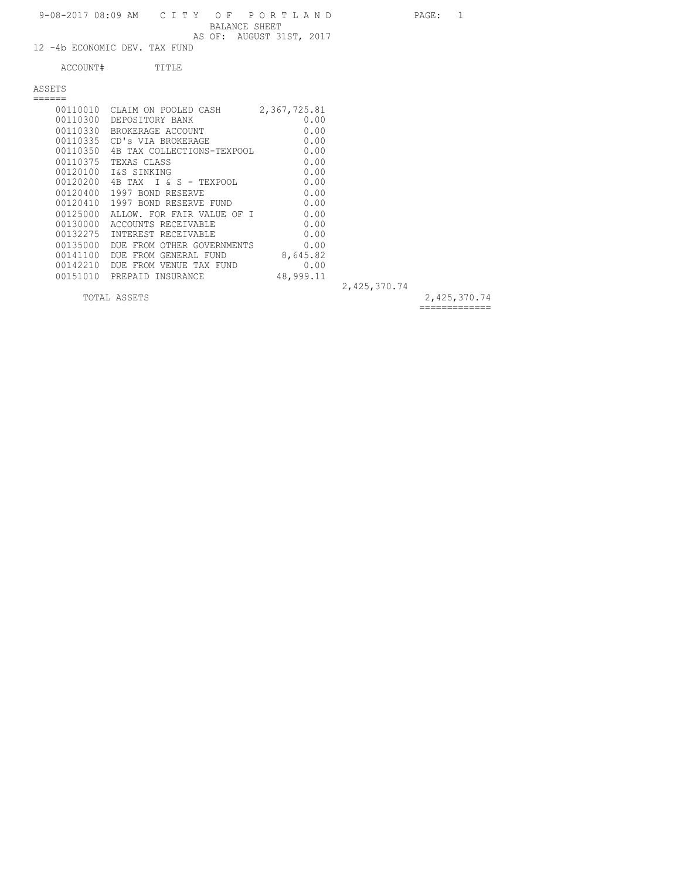|          | 9-08-2017 08:09 AM CITY OF PORTLAND<br>BALANCE SHEET | AS OF: AUGUST 31ST, 2017 |              | PAGE: | -1 |
|----------|------------------------------------------------------|--------------------------|--------------|-------|----|
|          | 12 -4b ECONOMIC DEV. TAX FUND                        |                          |              |       |    |
| ACCOUNT# | TITLE                                                |                          |              |       |    |
| ASSETS   |                                                      |                          |              |       |    |
|          |                                                      |                          |              |       |    |
|          | 00110010 CLAIM ON POOLED CASH 2,367,725.81           |                          |              |       |    |
|          | 00110300 DEPOSITORY BANK                             | 0.00                     |              |       |    |
|          | 00110330 BROKERAGE ACCOUNT                           | 0.00                     |              |       |    |
|          | 00110335 CD's VIA BROKERAGE                          | 0.00                     |              |       |    |
|          | 0.00 00110350 4B TAX COLLECTIONS-TEXPOOL 0.00        |                          |              |       |    |
| 00110375 | TEXAS CLASS                                          | 0.00                     |              |       |    |
|          | 00120100 I&S SINKING                                 | 0.00                     |              |       |    |
|          | 00120200 4B TAX I & S - TEXPOOL                      | 0.00                     |              |       |    |
| 00120400 | 1997 BOND RESERVE                                    | 0.00                     |              |       |    |
|          | 00120410 1997 BOND RESERVE FUND                      | 0.00                     |              |       |    |
|          | 00125000 ALLOW. FOR FAIR VALUE OF I 0.00             |                          |              |       |    |
|          | 00130000 ACCOUNTS RECEIVABLE                         | 0.00                     |              |       |    |
| 00132275 | INTEREST RECEIVABLE                                  | 0.00                     |              |       |    |
| 00135000 | DUE FROM OTHER GOVERNMENTS 0.00                      |                          |              |       |    |
| 00141100 | DUE FROM GENERAL FUND                                | 8,645.82                 |              |       |    |
| 00142210 | DUE FROM VENUE TAX FUND                              | 0.00                     |              |       |    |
|          | 00151010 PREPAID INSURANCE                           | 48,999.11                |              |       |    |
|          |                                                      |                          | 2,425,370.74 |       |    |
|          |                                                      |                          |              |       |    |

TOTAL ASSETS 2,425,370.74

=============